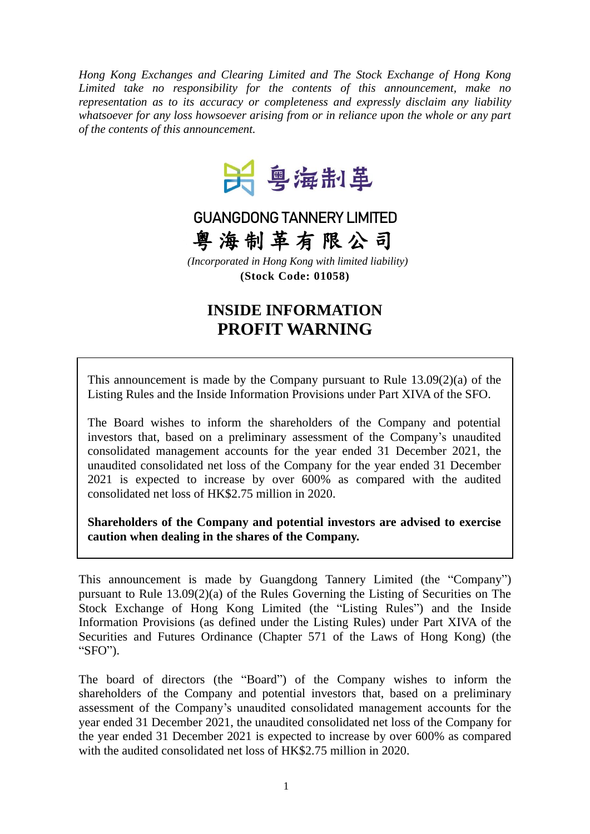*Hong Kong Exchanges and Clearing Limited and The Stock Exchange of Hong Kong Limited take no responsibility for the contents of this announcement, make no representation as to its accuracy or completeness and expressly disclaim any liability whatsoever for any loss howsoever arising from or in reliance upon the whole or any part of the contents of this announcement.*



## **GUANGDONG TANNERY LIMITED**

粤 海 制 革 有 限 公 司

*(Incorporated in Hong Kong with limited liability)* **(Stock Code: 01058)**

## **INSIDE INFORMATION PROFIT WARNING**

This announcement is made by the Company pursuant to Rule 13.09(2)(a) of the Listing Rules and the Inside Information Provisions under Part XIVA of the SFO.

The Board wishes to inform the shareholders of the Company and potential investors that, based on a preliminary assessment of the Company's unaudited consolidated management accounts for the year ended 31 December 2021, the unaudited consolidated net loss of the Company for the year ended 31 December 2021 is expected to increase by over 600% as compared with the audited consolidated net loss of HK\$2.75 million in 2020.

**Shareholders of the Company and potential investors are advised to exercise caution when dealing in the shares of the Company.**

This announcement is made by Guangdong Tannery Limited (the "Company") pursuant to Rule 13.09(2)(a) of the Rules Governing the Listing of Securities on The Stock Exchange of Hong Kong Limited (the "Listing Rules") and the Inside Information Provisions (as defined under the Listing Rules) under Part XIVA of the Securities and Futures Ordinance (Chapter 571 of the Laws of Hong Kong) (the "SFO").

The board of directors (the "Board") of the Company wishes to inform the shareholders of the Company and potential investors that, based on a preliminary assessment of the Company's unaudited consolidated management accounts for the year ended 31 December 2021, the unaudited consolidated net loss of the Company for the year ended 31 December 2021 is expected to increase by over 600% as compared with the audited consolidated net loss of HK\$2.75 million in 2020.